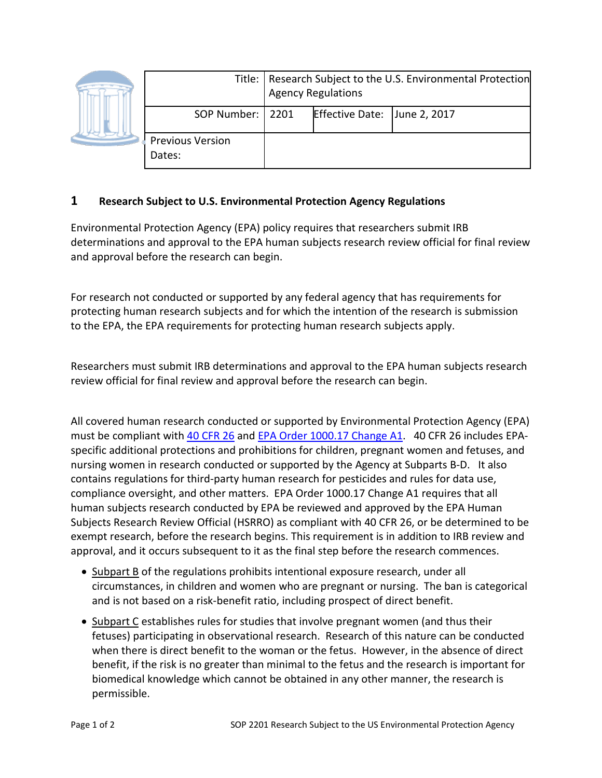|  |                                   | Title:   Research Subject to the U.S. Environmental Protection<br><b>Agency Regulations</b> |                              |  |
|--|-----------------------------------|---------------------------------------------------------------------------------------------|------------------------------|--|
|  | SOP Number:   2201                |                                                                                             | Effective Date: June 2, 2017 |  |
|  | <b>Previous Version</b><br>Dates: |                                                                                             |                              |  |

## **1 Research Subject to U.S. Environmental Protection Agency Regulations**

Environmental Protection Agency (EPA) policy requires that researchers submit IRB determinations and approval to the EPA human subjects research review official for final review and approval before the research can begin.

For research not conducted or supported by any federal agency that has requirements for protecting human research subjects and for which the intention of the research is submission to the EPA, the EPA requirements for protecting human research subjects apply.

Researchers must submit IRB determinations and approval to the EPA human subjects research review official for final review and approval before the research can begin.

All covered human research conducted or supported by Environmental Protection Agency (EPA) must be compliant with [40 CFR 26](http://www.epa.gov/phre/pdf/title_40_section_26_expanded.pdf) and [EPA Order 1000.17 Change A1.](http://www.epa.gov/phre/pdf/epa-order-1000_17-a1.pdf) 40 CFR 26 includes EPAspecific additional protections and prohibitions for children, pregnant women and fetuses, and nursing women in research conducted or supported by the Agency at Subparts B-D. It also contains regulations for third-party human research for pesticides and rules for data use, compliance oversight, and other matters. EPA Order 1000.17 Change A1 requires that all human subjects research conducted by EPA be reviewed and approved by the EPA Human Subjects Research Review Official (HSRRO) as compliant with 40 CFR 26, or be determined to be exempt research, before the research begins. This requirement is in addition to IRB review and approval, and it occurs subsequent to it as the final step before the research commences.

- Subpart B of the regulations prohibits intentional exposure research, under all circumstances, in children and women who are pregnant or nursing. The ban is categorical and is not based on a risk-benefit ratio, including prospect of direct benefit.
- Subpart C establishes rules for studies that involve pregnant women (and thus their fetuses) participating in observational research. Research of this nature can be conducted when there is direct benefit to the woman or the fetus. However, in the absence of direct benefit, if the risk is no greater than minimal to the fetus and the research is important for biomedical knowledge which cannot be obtained in any other manner, the research is permissible.